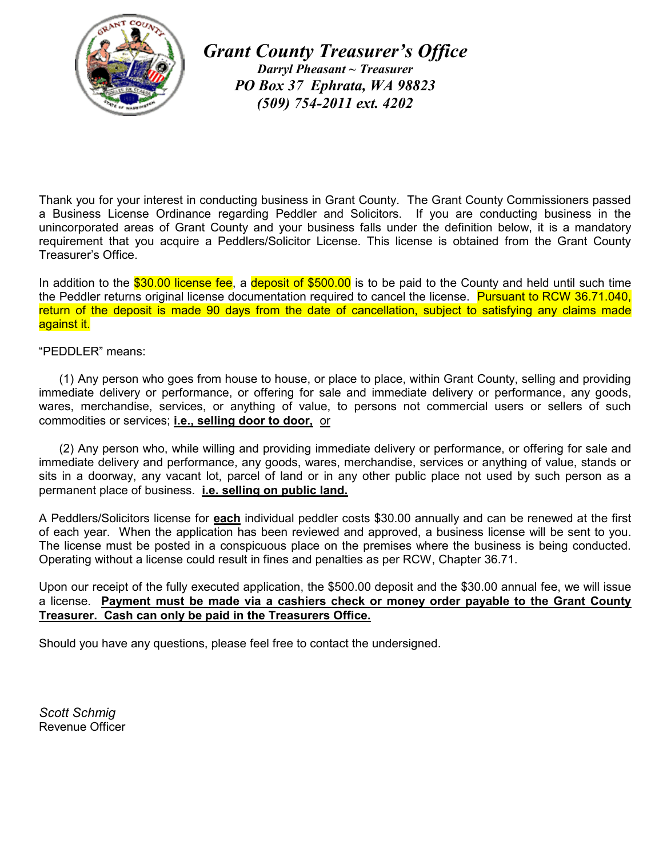

*Grant County Treasurer's Office Darryl Pheasant ~ Treasurer PO Box 37 Ephrata, WA 98823 (509) 754-2011 ext. 4202*

Thank you for your interest in conducting business in Grant County. The Grant County Commissioners passed a Business License Ordinance regarding Peddler and Solicitors. If you are conducting business in the unincorporated areas of Grant County and your business falls under the definition below, it is a mandatory requirement that you acquire a Peddlers/Solicitor License. This license is obtained from the Grant County Treasurer's Office.

In addition to the \$30.00 license fee, a deposit of \$500.00 is to be paid to the County and held until such time the Peddler returns original license documentation required to cancel the license. Pursuant to RCW 36.71.040, return of the deposit is made 90 days from the date of cancellation, subject to satisfying any claims made against it.

## "PEDDLER" means:

 (1) Any person who goes from house to house, or place to place, within Grant County, selling and providing immediate delivery or performance, or offering for sale and immediate delivery or performance, any goods, wares, merchandise, services, or anything of value, to persons not commercial users or sellers of such commodities or services; **i.e., selling door to door,** or

 (2) Any person who, while willing and providing immediate delivery or performance, or offering for sale and immediate delivery and performance, any goods, wares, merchandise, services or anything of value, stands or sits in a doorway, any vacant lot, parcel of land or in any other public place not used by such person as a permanent place of business. **i.e. selling on public land.**

A Peddlers/Solicitors license for **each** individual peddler costs \$30.00 annually and can be renewed at the first of each year. When the application has been reviewed and approved, a business license will be sent to you. The license must be posted in a conspicuous place on the premises where the business is being conducted. Operating without a license could result in fines and penalties as per RCW, Chapter 36.71.

Upon our receipt of the fully executed application, the \$500.00 deposit and the \$30.00 annual fee, we will issue a license. **Payment must be made via a cashiers check or money order payable to the Grant County Treasurer. Cash can only be paid in the Treasurers Office.**

Should you have any questions, please feel free to contact the undersigned.

*Scott Schmig* Revenue Officer